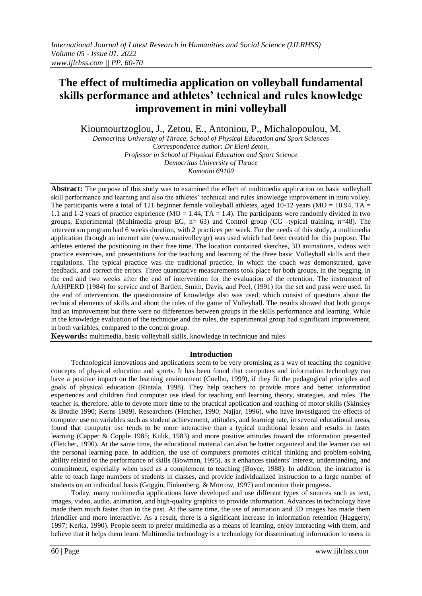# **The effect of multimedia application on volleyball fundamental skills performance and athletes' technical and rules knowledge improvement in mini volleyball**

Kioumourtzoglou, J., Zetou, E., Antoniou, P., Michalopoulou, M.

*Democritus University of Thrace, School of Physical Education and Sport Sciences Correspondence author: Dr Eleni Zetou, Professor in School of Physical Education and Sport Science Democritus University of Thrace Komotini 69100*

**Abstract:** The purpose of this study was to examined the effect of multimedia application on basic volleyball skill performance and learning and also the athletes' technical and rules knowledge improvement in mini volley. The participants were a total of 121 beginner female volleyball athletes, aged 10-12 years (MO = 10.94, TA = 1.1 and 1-2 years of practice experience (MO = 1.44, TA = 1.4). The participants were randomly divided in two groups, Experimental (Multimedia group EG,  $n= 63$ ) and Control group (CG -typical training,  $n=48$ ). The intervention program had 6 weeks duration, with 2 practices per week. For the needs of this study, a multimedia application through an internet site (www.minivolley.gr) was used which had been created for this purpose. The athletes entered the positioning in their free time. The location contained sketches, 3D animations, videos with practice exercises, and presentations for the teaching and learning of the three basic Volleyball skills and their regulations. The typical practice was the traditional practice, in which the coach was demonstrated, gave feedback, and correct the errors. Three quantitative measurements took place for both groups, in the begging, in the end and two weeks after the end of intervention for the evaluation of the retention. The instrument of AAHPERD (1984) for service and of Bartlett, Smith, Davis, and Peel, (1991) for the set and pass were used. In the end of intervention, the questionnaire of knowledge also was used, which consist of questions about the technical elements of skills and about the rules of the game of Volleyball. The results showed that both groups had an improvement but there were no differences between groups in the skills performance and learning. While in the knowledge evaluation of the technique and the rules, the experimental group had significant improvement, in both variables, compared to the control group.

**Keywords:** multimedia, basic volleyball skills, knowledge in technique and rules

### **Introduction**

Technological innovations and applications seem to be very promising as a way of teaching the cognitive concepts of physical education and sports. It has been found that computers and information technology can have a positive impact on the learning environment (Coelho, 1999), if they fit the pedagogical principles and goals of physical education (Rintala, 1998). They help teachers to provide more and better information experiences and children find computer use ideal for teaching and learning theory, strategies, and rules. The teacher is, therefore, able to devote more time to the practical application and teaching of motor skills (Skinsley & Brodie 1990; Kerns 1989). Researchers (Fletcher, 1990; Najjar, 1996), who have investigated the effects of computer use on variables such as student achievement, attitudes, and learning rate, in several educational areas, found that computer use tends to be more interactive than a typical traditional lesson and results in faster learning (Capper & Copple 1985; Kulik, 1983) and more positive attitudes toward the information presented (Fletcher, 1990). At the same time, the educational material can also be better organized and the learner can set the personal learning pace. In addition, the use of computers promotes critical thinking and problem-solving ability related to the performance of skills (Bowman, 1995), as it enhances students' interest, understanding, and commitment, especially when used as a complement to teaching (Boyce, 1988). In addition, the instructor is able to teach large numbers of students in classes, and provide individualized instruction to a large number of students on an individual basis (Goggin, Finkenberg, & Morrow, 1997) and monitor their progress.

Today, many multimedia applications have developed and use different types of sources such as text, images, video, audio, animation, and high-quality graphics to provide information. Advances in technology have made them much faster than in the past. At the same time, the use of animation and 3D images has made them friendlier and more interactive. As a result, there is a significant increase in information retention (Haggerty, 1997; Kerka, 1990). People seem to prefer multimedia as a means of learning, enjoy interacting with them, and believe that it helps them learn. Multimedia technology is a technology for disseminating information to users in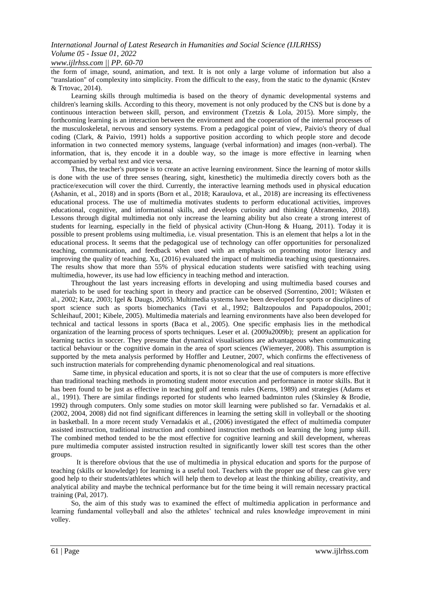### *International Journal of Latest Research in Humanities and Social Science (IJLRHSS) Volume 05 - Issue 01, 2022 www.ijlrhss.com || PP. 60-70*

the form of image, sound, animation, and text. It is not only a large volume of information but also a "translation" of complexity into simplicity. From the difficult to the easy, from the static to the dynamic (Krstev & Trtovac, 2014).

Learning skills through multimedia is based on the theory of dynamic developmental systems and children's learning skills. According to this theory, movement is not only produced by the CNS but is done by a continuous interaction between skill, person, and environment (Tzetzis & Lola, 2015). More simply, the forthcoming learning is an interaction between the environment and the cooperation of the internal processes of the musculoskeletal, nervous and sensory systems. From a pedagogical point of view, Paivio's theory of dual coding (Clark, & Paivio, 1991) holds a supportive position according to which people store and decode information in two connected memory systems, language (verbal information) and images (non-verbal). The information, that is, they encode it in a double way, so the image is more effective in learning when accompanied by verbal text and vice versa.

Thus, the teacher's purpose is to create an active learning environment. Since the learning of motor skills is done with the use of three senses (hearing, sight, kinesthetic) the multimedia directly covers both as the practice/execution will cover the third. Currently, the interactive learning methods used in physical education (Ashanin, et al., 2018) and in sports (Born et al., 2018; Karaulova, et al., 2018) are increasing its effectiveness educational process. The use of multimedia motivates students to perform educational activities, improves educational, cognitive, and informational skills, and develops curiosity and thinking (Abramenko, 2018). Lessons through digital multimedia not only increase the learning ability but also create a strong interest of students for learning, especially in the field of physical activity (Chun-Hong & Huang, 2011). Today it is possible to present problems using multimedia, i.e. visual presentation. This is an element that helps a lot in the educational process. It seems that the pedagogical use of technology can offer opportunities for personalized teaching, communication, and feedback when used with an emphasis on promoting motor literacy and improving the quality of teaching. Xu, (2016) evaluated the impact of multimedia teaching using questionnaires. The results show that more than 55% of physical education students were satisfied with teaching using multimedia, however, its use had low efficiency in teaching method and interaction.

Throughout the last years increasing efforts in developing and using multimedia based courses and materials to be used for teaching sport in theory and practice can be observed (Sorrentino, [2001;](https://www.ncbi.nlm.nih.gov/pmc/articles/PMC3737889/#ref20) Wiksten et al., [2002;](https://www.ncbi.nlm.nih.gov/pmc/articles/PMC3737889/#ref26) Katz, [2003;](https://www.ncbi.nlm.nih.gov/pmc/articles/PMC3737889/#ref10) Igel & Daugs, [2005\)](https://www.ncbi.nlm.nih.gov/pmc/articles/PMC3737889/#ref9). Multimedia systems have been developed for sports or disciplines of sport science such as sports biomechanics (Tavi et al., [1992;](https://www.ncbi.nlm.nih.gov/pmc/articles/PMC3737889/#ref21) Baltzopoulos and Papadopoulos, [2001;](https://www.ncbi.nlm.nih.gov/pmc/articles/PMC3737889/#ref5) Schleihauf, [2001;](https://www.ncbi.nlm.nih.gov/pmc/articles/PMC3737889/#ref19) Kibele, [2005\)](https://www.ncbi.nlm.nih.gov/pmc/articles/PMC3737889/#ref11). Multimedia materials and learning environments have also been developed for technical and tactical lessons in sports (Baca et al., [2005\)](https://www.ncbi.nlm.nih.gov/pmc/articles/PMC3737889/#ref3). One specific emphasis lies in the methodical organization of the learning process of sports techniques. Leser et al. [\(2009a2](https://www.ncbi.nlm.nih.gov/pmc/articles/PMC3737889/#ref13)00[9b\)](https://www.ncbi.nlm.nih.gov/pmc/articles/PMC3737889/#ref14); present an application for learning tactics in soccer. They presume that dynamical visualisations are advantageous when communicating tactical behaviour or the cognitive domain in the area of sport sciences (Wiemeyer, [2008\)](https://www.ncbi.nlm.nih.gov/pmc/articles/PMC3737889/#ref25). This assumption is supported by the meta analysis performed by Hoffler and Leutner, [2007,](https://www.ncbi.nlm.nih.gov/pmc/articles/PMC3737889/#ref7) which confirms the effectiveness of such instruction materials for comprehending dynamic phenomenological and real situations.

Same time, in physical education and sports, it is not so clear that the use of computers is more effective than traditional teaching methods in promoting student motor execution and performance in motor skills. But it has been found to be just as effective in teaching golf and tennis rules (Kerns, 1989) and strategies (Adams et al., 1991). There are similar findings reported for students who learned badminton rules (Skinsley & Brodie, 1992) through computers. Only some studies on motor skill learning were published so far. Vernadakis et al. [\(2002,](https://www.ncbi.nlm.nih.gov/pmc/articles/PMC3737889/#ref22) [2004,](https://www.ncbi.nlm.nih.gov/pmc/articles/PMC3737889/#ref23) 2008) did not find significant differences in learning the setting skill in volleyball or the shooting in basketball. In a more recent study Vernadakis et al., [\(2006\)](https://www.ncbi.nlm.nih.gov/pmc/articles/PMC3737889/#ref24) investigated the effect of multimedia computer assisted instruction, traditional instruction and combined instruction methods on learning the long jump skill. The combined method tended to be the most effective for cognitive learning and skill development, whereas pure multimedia computer assisted instruction resulted in significantly lower skill test scores than the other groups.

It is therefore obvious that the use of multimedia in physical education and sports for the purpose of teaching (skills or knowledge) for learning is a useful tool. Teachers with the proper use of these can give very good help to their students/athletes which will help them to develop at least the thinking ability, creativity, and analytical ability and maybe the technical performance but for the time being it will remain necessary practical training (Pal, 2017).

So, the aim of this study was to examined the effect of multimedia application in performance and learning fundamental volleyball and also the athletes' technical and rules knowledge improvement in mini volley.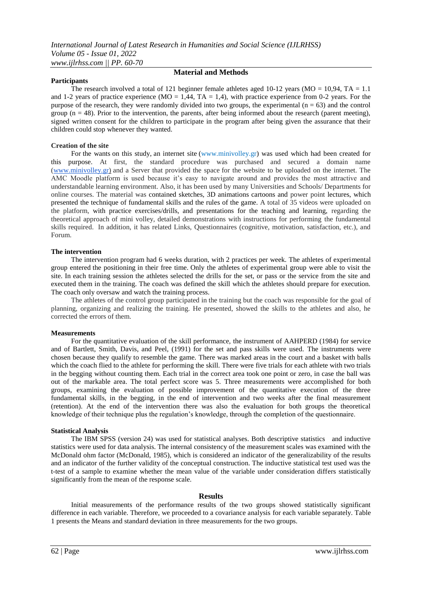### **Participants**

# **Material and Methods**

The research involved a total of 121 beginner female athletes aged 10-12 years ( $MO = 10,94$ ,  $TA = 1.1$ and 1-2 years of practice experience (MO = 1,44, TA = 1,4), with practice experience from 0-2 years. For the purpose of the research, they were randomly divided into two groups, the experimental  $(n = 63)$  and the control group  $(n = 48)$ . Prior to the intervention, the parents, after being informed about the research (parent meeting), signed written consent for the children to participate in the program after being given the assurance that their children could stop whenever they wanted.

#### **Creation of the site**

For the wants on this study, an internet site (www.minivolley.gr) was used which had been created for this purpose. At first, the standard procedure was purchased and secured a domain name [\(www.m](http://www.minivolley.gr/)inivolle[y.gr\)](http://www.minivolley.gr/) and a Server that provided the space for the website to be uploaded on the internet. The AMC Moodle platform is used because it's easy to navigate around and provides the most attractive and understandable learning environment. Also, it has been used by many Universities and Schools/ Departments for online courses. The material was contained sketches, 3D animations cartoons and power point lectures, which presented the technique of fundamental skills and the rules of the game. A total of 35 videos were uploaded on the platform, with practice exercises/drills, and presentations for the teaching and learning, regarding the theoretical approach of mini volley, detailed demonstrations with instructions for performing the fundamental skills required. In addition, it has related Links, Questionnaires (cognitive, motivation, satisfaction, etc.), and Forum.

#### **The intervention**

The intervention program had 6 weeks duration, with 2 practices per week. The athletes of experimental group entered the positioning in their free time. Only the athletes of experimental group were able to visit the site. In each training session the athletes selected the drills for the set, or pass or the service from the site and executed them in the training. The coach was defined the skill which the athletes should prepare for execution. The coach only oversaw and watch the training process.

The athletes of the control group participated in the training but the coach was responsible for the goal of planning, organizing and realizing the training. He presented, showed the skills to the athletes and also, he corrected the errors of them.

#### **Measurements**

For the quantitative evaluation of the skill performance, the instrument of AAHPERD (1984) for service and of Bartlett, Smith, Davis, and Peel, (1991) for the set and pass skills were used. The instruments were chosen because they qualify to resemble the game. There was marked areas in the court and a basket with balls which the coach flied to the athlete for performing the skill. There were five trials for each athlete with two trials in the begging without counting them. Each trial in the correct area took one point or zero, in case the ball was out of the markable area. The total perfect score was 5. Three measurements were accomplished for both groups, examining the evaluation of possible improvement of the quantitative execution of the three fundamental skills, in the begging, in the end of intervention and two weeks after the final measurement (retention). At the end of the intervention there was also the evaluation for both groups the theoretical knowledge of their technique plus the regulation's knowledge, through the completion of the questionnaire.

#### **Statistical Analysis**

The IBM SPSS (version 24) was used for statistical analyses. Both descriptive statistics and inductive statistics were used for data analysis. The internal consistency of the measurement scales was examined with the McDonald ohm factor (McDonald, 1985), which is considered an indicator of the generalizability of the results and an indicator of the further validity of the conceptual construction. The inductive statistical test used was the t-test of a sample to examine whether the mean value of the variable under consideration differs statistically significantly from the mean of the response scale.

#### **Results**

Initial measurements of the performance results of the two groups showed statistically significant difference in each variable. Therefore, we proceeded to a covariance analysis for each variable separately. Table 1 presents the Means and standard deviation in three measurements for the two groups.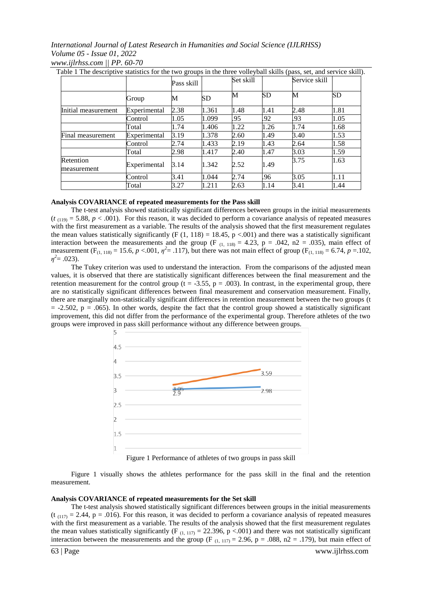|                          |              | Pass skill |       | Set skill |      | Service skill |           |
|--------------------------|--------------|------------|-------|-----------|------|---------------|-----------|
|                          | Group        | М          | SD    | М         | SD   | М             | <b>SD</b> |
| Initial measurement      | Experimental | 2.38       | 1.361 | 1.48      | 1.41 | 2.48          | 1.81      |
|                          | Control      | 1.05       | 1.099 | .95       | .92  | .93           | 1.05      |
|                          | Total        | 1.74       | 1.406 | 1.22      | 1.26 | 1.74          | 1.68      |
| Final measurement        | Experimental | 3.19       | 1.378 | 2.60      | 1.49 | 3.40          | 1.53      |
|                          | Control      | 2.74       | 1.433 | 2.19      | 1.43 | 2.64          | 1.58      |
|                          | Total        | 2.98       | 1.417 | 2.40      | 1.47 | 3.03          | 1.59      |
| Retention<br>measurement | Experimental | 3.14       | 1.342 | 2.52      | 1.49 | 3.75          | 1.63      |
|                          | Control      | 3.41       | 1.044 | 2.74      | .96  | 3.05          | 1.11      |
|                          | Total        | 3.27       | 1.211 | 2.63      | 1.14 | 3.41          | 1.44      |

*www.ijlrhss.com || PP. 60-70*

### **Analysis COVARIANCE of repeated measurements for the Pass skill**

The t-test analysis showed statistically significant differences between groups in the initial measurements  $(t_{(119)} = 5.88, p < .001)$ . For this reason, it was decided to perform a covariance analysis of repeated measures with the first measurement as a variable. The results of the analysis showed that the first measurement regulates the mean values statistically significantly (F  $(1, 118) = 18.45$ , p <.001) and there was a statistically significant interaction between the measurements and the group (F  $_{(1, 118)} = 4.23$ , p = .042, n2 = .035), main effect of measurement (F<sub>(1, 118)</sub> = 15.6,  $p < .001$ ,  $\eta^2 = .117$ ), but there was not main effect of group (F<sub>(1, 118)</sub> = 6.74,  $p = .102$ ,  $\eta^2 = .023$ ).

The Tukey criterion was used to understand the interaction. From the comparisons of the adjusted mean values, it is observed that there are statistically significant differences between the final measurement and the retention measurement for the control group (t = -3.55, p = .003). In contrast, in the experimental group, there are no statistically significant differences between final measurement and conservation measurement. Finally, there are marginally non-statistically significant differences in retention measurement between the two groups (t  $= -2.502$ ,  $p = .065$ ). In other words, despite the fact that the control group showed a statistically significant improvement, this did not differ from the performance of the experimental group. Therefore athletes of the two groups were improved in pass skill performance without any difference between groups.



Figure 1 Performance of athletes of two groups in pass skill

Figure 1 visually shows the athletes performance for the pass skill in the final and the retention measurement.

### **Analysis COVARIANCE of repeated measurements for the Set skill**

The t-test analysis showed statistically significant differences between groups in the initial measurements  $(t_{(117)} = 2.44, p = .016)$ . For this reason, it was decided to perform a covariance analysis of repeated measures with the first measurement as a variable. The results of the analysis showed that the first measurement regulates the mean values statistically significantly (F<sub>(1, 117)</sub> = 22.396, p <.001) and there was not statistically significant interaction between the measurements and the group (F  $_{(1, 117)} = 2.96$ , p = .088, n2 = .179), but main effect of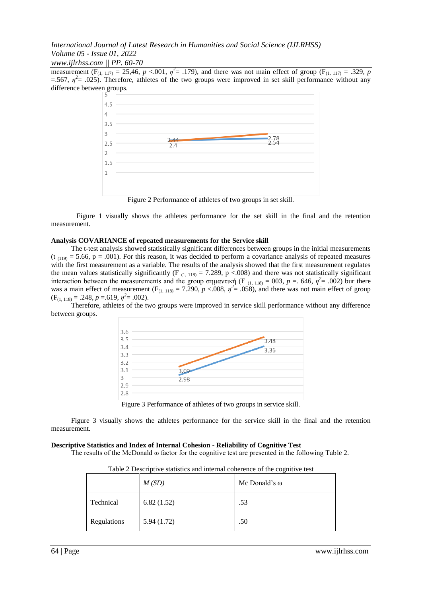#### *www.ijlrhss.com || PP. 60-70*

measurement  $(F_{(1, 117)} = 25,46, p < .001, \eta^2 = .179)$ , and there was not main effect of group  $(F_{(1, 117)} = .329, p$  $=$  567,  $\eta^2$  = .025). Therefore, athletes of the two groups were improved in set skill performance without any difference between groups.



Figure 2 Performance of athletes of two groups in set skill.

Figure 1 visually shows the athletes performance for the set skill in the final and the retention measurement.

#### **Analysis COVARIANCE of repeated measurements for the Service skill**

The t-test analysis showed statistically significant differences between groups in the initial measurements  $(t_{(119)} = 5.66, p = .001)$ . For this reason, it was decided to perform a covariance analysis of repeated measures with the first measurement as a variable. The results of the analysis showed that the first measurement regulates the mean values statistically significantly (F<sub>(1, 118)</sub> = 7.289, p <.008) and there was not statistically significant interaction between the measurements and the group σημαντική (F<sub>(1, 118)</sub> = 003, p = .646,  $η^2$  = .002) bur there was a main effect of measurement  $(F_{(1, 118)} = 7.290, p < .008, \eta^2 = .058)$ , and there was not main effect of group  $(F_{(1, 118)} = .248, p = .619, \eta^2 = .002).$ 

Therefore, athletes of the two groups were improved in service skill performance without any difference between groups.



Figure 3 Performance of athletes of two groups in service skill.

Figure 3 visually shows the athletes performance for the service skill in the final and the retention measurement.

#### **Descriptive Statistics and Index of Internal Cohesion - Reliability of Cognitive Test**

The results of the McDonald ω factor for the cognitive test are presented in the following Table 2.

|             | M(SD)      | Mc Donald's $\omega$ |
|-------------|------------|----------------------|
| Technical   | 6.82(1.52) | .53                  |
| Regulations | 5.94(1.72) | .50                  |

Table 2 Descriptive statistics and internal coherence of the cognitive test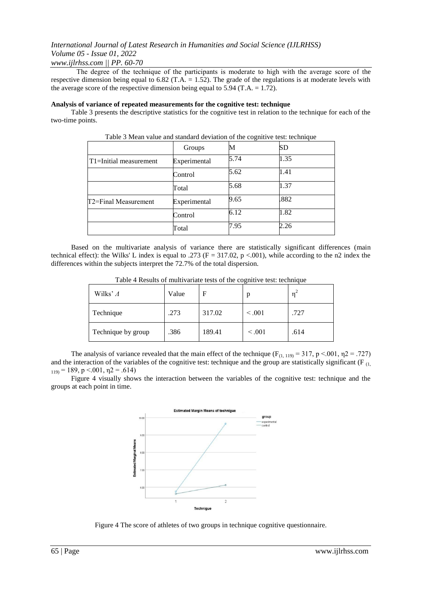### *www.ijlrhss.com || PP. 60-70*

Τhe degree of the technique of the participants is moderate to high with the average score of the respective dimension being equal to 6.82 (T.A. = 1.52). The grade of the regulations is at moderate levels with the average score of the respective dimension being equal to  $5.94$  (T.A. = 1.72).

#### **Analysis of variance of repeated measurements for the cognitive test: technique**

Table 3 presents the descriptive statistics for the cognitive test in relation to the technique for each of the two-time points.

|                        | Groups       | М    | SD   |
|------------------------|--------------|------|------|
| T1=Initial measurement | Experimental | 5.74 | 1.35 |
|                        | Control      | 5.62 | 1.41 |
|                        | Total        | 5.68 | 1.37 |
| T2=Final Measurement   | Experimental | 9.65 | .882 |
|                        | Control      | 6.12 | 1.82 |
|                        | Total        | 7.95 | 2.26 |

Table 3 Mean value and standard deviation of the cognitive test: technique

Based on the multivariate analysis of variance there are statistically significant differences (main technical effect): the Wilks' L index is equal to .273 ( $F = 317.02$ ,  $p < .001$ ), while according to the n2 index the differences within the subjects interpret the 72.7% of the total dispersion.

| Wilks' $\Lambda$   | Value | F      | p       | 'n   |
|--------------------|-------|--------|---------|------|
| Technique          | .273  | 317.02 | < 0.001 | .727 |
| Technique by group | .386  | 189.41 | < 0.001 | .614 |

Table 4 Results of multivariate tests of the cognitive test: technique

The analysis of variance revealed that the main effect of the technique ( $F_{(1, 119)} = 317$ , p <.001,  $n^2 = .727$ ) and the interaction of the variables of the cognitive test: technique and the group are statistically significant ( $F_{(1)}$ )  $_{119}$  = 189, p < 001,  $\eta$ 2 = .614)

Figure 4 visually shows the interaction between the variables of the cognitive test: technique and the groups at each point in time.



Figure 4 The score of athletes of two groups in technique cognitive questionnaire.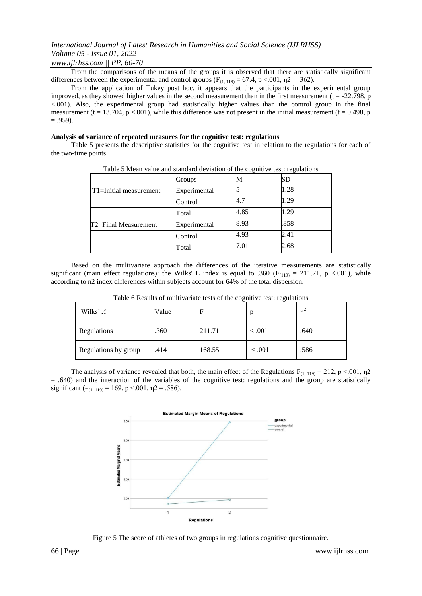*www.ijlrhss.com || PP. 60-70*

From the comparisons of the means of the groups it is observed that there are statistically significant differences between the experimental and control groups ( $F_{(1, 119)} = 67.4$ , p <.001,  $\eta$ 2 = .362).

From the application of Tukey post hoc, it appears that the participants in the experimental group improved, as they showed higher values in the second measurement than in the first measurement ( $t = -22.798$ , p <.001). Also, the experimental group had statistically higher values than the control group in the final measurement (t = 13.704, p <.001), while this difference was not present in the initial measurement (t = 0.498, p  $= .959$ ).

#### **Analysis of variance of repeated measures for the cognitive test: regulations**

Table 5 presents the descriptive statistics for the cognitive test in relation to the regulations for each of the two-time points.

|                                     | Groups       | M    | <b>SD</b> |  |
|-------------------------------------|--------------|------|-----------|--|
| T <sub>1</sub> =Initial measurement | Experimental |      | 1.28      |  |
|                                     | Control      | 4.7  | 1.29      |  |
|                                     | Total        | 4.85 | 1.29      |  |
| T2=Final Measurement                | Experimental | 8.93 | .858      |  |
|                                     | Control      | 4.93 | 2.41      |  |
|                                     | Total        | 7.01 | 2.68      |  |

Table 5 Mean value and standard deviation of the cognitive test: regulations

Based on the multivariate approach the differences of the iterative measurements are statistically significant (main effect regulations): the Wilks' L index is equal to .360 ( $F_{(119)} = 211.71$ , p <.001), while according to n2 index differences within subjects account for 64% of the total dispersion.

|                      |       | -      | $\tilde{\phantom{a}}$ |      |
|----------------------|-------|--------|-----------------------|------|
| Wilks' $\Lambda$     | Value | F      | p                     | n    |
| Regulations          | .360  | 211.71 | < 0.001               | .640 |
| Regulations by group | .414  | 168.55 | < 0.001               | .586 |

Table 6 Results of multivariate tests of the cognitive test: regulations

The analysis of variance revealed that both, the main effect of the Regulations  $F_{(1, 119)} = 212$ , p <.001,  $\eta$ 2  $=$  .640) and the interaction of the variables of the cognitive test: regulations and the group are statistically significant ( $F (1, 119) = 169$ , p <.001,  $\eta$ 2 = .586).



Figure 5 The score of athletes of two groups in regulations cognitive questionnaire.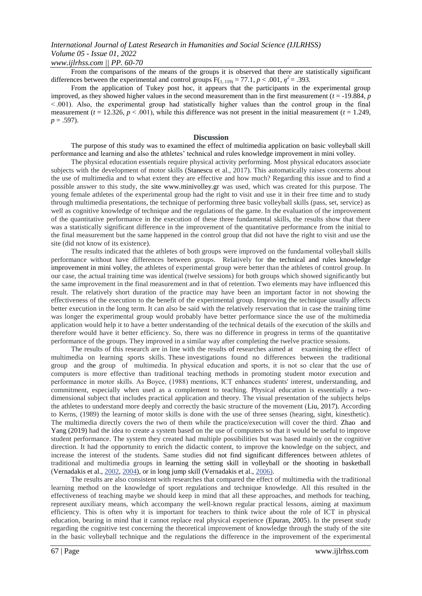# *www.ijlrhss.com || PP. 60-70*

From the comparisons of the means of the groups it is observed that there are statistically significant differences between the experimental and control groups  $F(1, 119) = 77.1$ ,  $p < .001$ ,  $\eta^2 = .393$ .

From the application of Tukey post hoc, it appears that the participants in the experimental group improved, as they showed higher values in the second measurement than in the first measurement  $(t = -19.884, p)$ < .001). Also, the experimental group had statistically higher values than the control group in the final measurement  $(t = 12.326, p < .001)$ , while this difference was not present in the initial measurement  $(t = 1.249,$  $p = .597$ ).

#### **Discussion**

The purpose of this study was to examined the effect of multimedia application on basic volleyball skill performance and learning and also the athletes' technical and rules knowledge improvement in mini volley.

The physical education essentials require physical activity performing. Most physical educators associate subjects with the development of motor skills (Stanescu et al., 2017). This automatically raises concerns about the use of multimedia and to what extent they are effective and how much? Regarding this issue and to find a possible answer to this study, the site www.minivolley.gr was used, which was created for this purpose. The young female athletes of the experimental group had the right to visit and use it in their free time and to study through multimedia presentations, the technique of performing three basic volleyball skills (pass, set, service) as well as cognitive knowledge of technique and the regulations of the game. In the evaluation of the improvement of the quantitative performance in the execution of these three fundamental skills, the results show that there was a statistically significant difference in the improvement of the quantitative performance from the initial to the final measurement but the same happened in the control group that did not have the right to visit and use the site (did not know of its existence).

The results indicated that the athletes of both groups were improved on the fundamental volleyball skills performance without have differences between groups. Relatively for the technical and rules knowledge improvement in mini volley, the athletes of experimental group were better than the athletes of control group. In our case, the actual training time was identical (twelve sessions) for both groups which showed significantly but the same improvement in the final measurement and in that of retention. Two elements may have influenced this result. The relatively short duration of the practice may have been an important factor in not showing the effectiveness of the execution to the benefit of the experimental group. Improving the technique usually affects better execution in the long term. It can also be said with the relatively reservation that in case the training time was longer the experimental group would probably have better performance since the use of the multimedia application would help it to have a better understanding of the technical details of the execution of the skills and therefore would have it better efficiency. So, there was no difference in progress in terms of the quantitative performance of the groups. They improved in a similar way after completing the twelve practice sessions.

The results of this research are in line with the results of researches aimed at examining the effect of multimedia on learning sports skills. These investigations found no differences between the traditional group and the group of multimedia. Ιn physical education and sports, it is not so clear that the use of computers is more effective than traditional teaching methods in promoting student motor execution and performance in motor skills. Αs Boyce, (1988) mentions, ICT enhances students' interest, understanding, and commitment, especially when used as a complement to teaching. Physical education is essentially a twodimensional subject that includes practical application and theory. The visual presentation of the subjects helps the athletes to understand more deeply and correctly the basic structure of the movement (Liu, 2017). According to Kerns, (1989) the learning of motor skills is done with the use of three senses (hearing, sight, kinesthetic). The multimedia directly covers the two of them while the practice/execution will cover the third. Zhao and Yang (2019) had the idea to create a system based on the use of computers so that it would be useful to improve student performance. The system they created had multiple possibilities but was based mainly on the cognitive direction. It had the opportunity to enrich the didactic content, to improve the knowledge on the subject, and increase the interest of the students. Same studies did not find significant differences between athletes of traditional and multimedia groups in learning the setting skill in volleyball or the shooting in basketball (Vernadakis et al., [2002,](https://www.ncbi.nlm.nih.gov/pmc/articles/PMC3737889/#ref22) [2004\)](https://www.ncbi.nlm.nih.gov/pmc/articles/PMC3737889/#ref23), or in long jump skill (Vernadakis et al., [2006\)](https://www.ncbi.nlm.nih.gov/pmc/articles/PMC3737889/#ref24).

The results are also consistent with researches that compared the effect of multimedia with the traditional learning method on the knowledge of sport regulations and technique knowledge. All this resulted in the effectiveness of teaching maybe we should keep in mind that all these approaches, and methods for teaching, represent auxiliary means, which accompany the well-known regular practical lessons, aiming at maximum efficiency. This is often why it is important for teachers to think twice about the role of ICT in physical education, bearing in mind that it cannot replace real physical experience (Epuran, 2005). In the present study regarding the cognitive test concerning the theoretical improvement of knowledge through the study of the site in the basic volleyball technique and the regulations the difference in the improvement of the experimental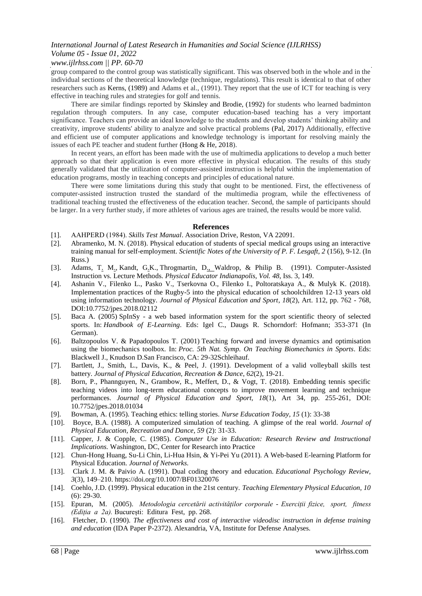### *www.ijlrhss.com || PP. 60-70*

group compared to the control group was statistically significant. This was observed both in the whole and in the individual sections of the theoretical knowledge (technique, regulations). This result is identical to that of other researchers such as Kerns, (1989) and Adams et al., (1991). They report that the use of ICT for teaching is very effective in teaching rules and strategies for golf and tennis.

There are similar findings reported by Skinsley and Brodie, (1992) for students who learned badminton regulation through computers. In any case, computer education-based teaching has a very important significance. Teachers can provide an ideal knowledge to the students and develop students' thinking ability and creativity, improve students' ability to analyze and solve practical problems (Pal, 2017) Additionally, effective and efficient use of computer applications and knowledge technology is important for resolving mainly the issues of each PE teacher and student further (Hong & He, 2018).

In recent years, an effort has been made with the use of multimedia applications to develop a much better approach so that their application is even more effective in physical education. The results of this study generally validated that the utilization of computer-assisted instruction is helpful within the implementation of education programs, mostly in teaching concepts and principles of educational nature.

There were some limitations during this study that ought to be mentioned. First, the effectiveness of computer-assisted instruction trusted the standard of the multimedia program, while the effectiveness of traditional teaching trusted the effectiveness of the education teacher. Second, the sample of participants should be larger. In a very further study, if more athletes of various ages are trained, the results would be more valid.

#### **References**

- [1]. AAHPERD (1984). *Skills Test Manual*. Association Drive, Reston, VA 22091.
- [2]. Abramenko, M. N. (2018). Physical education of students of special medical groups using an interactive training manual for self-employment. *Scientific Notes of the University of P. F. Lesgaft, 2* (156), 9-12. (In Russ.)
- [3]. [Adams, T.](https://www.proquest.com/indexinglinkhandler/sng/au/Adams,+Thomas+M/$N;jsessionid=D52AF2A5916841A0ACC731023E6D0701.i-090ebdb8ebe36d962) [M.](https://www.proquest.com/indexinglinkhandler/sng/au/Adams,+Thomas+M/$N;jsessionid=D52AF2A5916841A0ACC731023E6D0701.i-090ebdb8ebe36d962), [Kandt, G.K.](https://www.proquest.com/indexinglinkhandler/sng/au/Kandt,+Gregory+K/$N;jsessionid=D52AF2A5916841A0ACC731023E6D0701.i-090ebdb8ebe36d962), [Throgmartin, D.,](https://www.proquest.com/indexinglinkhandler/sng/au/Throgmartin,+David/$N;jsessionid=D52AF2A5916841A0ACC731023E6D0701.i-090ebdb8ebe36d962) [Waldrop, & P](https://www.proquest.com/indexinglinkhandler/sng/au/Waldrop,+Philip+B/$N;jsessionid=D52AF2A5916841A0ACC731023E6D0701.i-090ebdb8ebe36d962)hili[p](https://www.proquest.com/indexinglinkhandler/sng/au/Waldrop,+Philip+B/$N;jsessionid=D52AF2A5916841A0ACC731023E6D0701.i-090ebdb8ebe36d962) [B.](https://www.proquest.com/indexinglinkhandler/sng/au/Waldrop,+Philip+B/$N;jsessionid=D52AF2A5916841A0ACC731023E6D0701.i-090ebdb8ebe36d962) (1991). Computer-Assisted Instruction vs. Lecture Methods.*[Physical](https://www.proquest.com/pubidlinkhandler/sng/pubtitle/Physical+Educator/$N/2030480/OpenView/1437936447/$B/2BBB96587134957PQ/1;jsessionid=D52AF2A5916841A0ACC731023E6D0701.i-090ebdb8ebe36d962) [Educator](https://www.proquest.com/pubidlinkhandler/sng/pubtitle/Physical+Educator/$N/2030480/OpenView/1437936447/$B/2BBB96587134957PQ/1;jsessionid=D52AF2A5916841A0ACC731023E6D0701.i-090ebdb8ebe36d962) Indianapolis, Vol. 48*, Iss. 3, 149.
- [4]. Ashanin V., Filenko L., Pasko V., Tserkovna O., Filenko I., Poltoratskaya A., & Mulyk K. (2018). Implementation practices of the Rugby-5 into the physical education of schoolchildren 12-13 years old using information technology*. Journal of Physical Education and Sport*, *18*(2), Art. 112, pp. 762 - 768, DOI:10.7752/jpes.2018.02112
- [5]. Baca A. (2005) SpInSy a web based information system for the sport scientific theory of selected sports. In: *Handbook of E-Learning*. Eds: Igel C., Daugs R. Schorndorf: Hofmann; 353-371 (In German).
- [6]. Baltzopoulos V. & Papadopoulos T. (2001) Teaching forward and inverse dynamics and optimisation using the biomechanics toolbox. In: *Proc. 5th Nat. Symp. On Teaching Biomechanics in Sports*. Eds: Blackwell J., Knudson D.San Francisco, CA: 29-32Schleihauf.
- [7]. Bartlett, J., Smith, L., Davis, K., & Peel, J. (1991). Development of a valid volleyball skills test battery. *Journal of Physical Education, Recreation & Dance*, *62*(2), 19-21.
- [8]. Born, P., Phannguyen, N., Grambow, R., Meffert, D., & Vogt, T. (2018). Embedding tennis specific teaching videos into long-term educational concepts to improve movement learning and technique performances. *Journal of Physical Education and Sport, 18*(1), Art 34, pp. 255-261, DOI: 10.7752/jpes.2018.01034
- [9]. Bowman, A. (1995). Teaching ethics: telling stories. *Nurse Education Today, 15* (1): 33-38
- [10]. Boyce, B.A. (1988). A computerized simulation of teaching. A glimpse of the real world. *Journal of Physical Education, Recreation and Dance, 59* (2): 31-33.
- [11]. Capper, J. & Copple, C. (1985). *Computer Use in Education: Research Review and Instructional Implications.* Washington, DC, Center for Research into Practice
- [12]. [Chun-H](https://www.researchgate.net/scientific-contributions/Chun-Hong-Huang-70742981)on[g](https://www.researchgate.net/scientific-contributions/Chun-Hong-Huang-70742981) [Huang,](https://www.researchgate.net/scientific-contributions/Chun-Hong-Huang-70742981) [Su-Li](https://www.researchgate.net/scientific-contributions/Su-Li-Chin-70545984) [Chin,](https://www.researchgate.net/scientific-contributions/Su-Li-Chin-70545984) [Li-H](https://www.researchgate.net/scientific-contributions/Li-Hua-Hsin-69867453)u[a](https://www.researchgate.net/scientific-contributions/Li-Hua-Hsin-69867453) [Hsin,](https://www.researchgate.net/scientific-contributions/Li-Hua-Hsin-69867453) & [Yi-P](https://www.researchgate.net/scientific-contributions/Yi-Pei-Yu-70654244)e[i](https://www.researchgate.net/scientific-contributions/Yi-Pei-Yu-70654244) [Yu](https://www.researchgate.net/scientific-contributions/Yi-Pei-Yu-70654244) (2011). A Web-based E-learning Platform for Physical Education. *Journal of Networks.*
- [13]. Clark J. M. & Paivio A. (1991). Dual coding theory and education. *Educational Psychology Review, 3*(3), 149–210. [https://d](https://psycnet.apa.org/doi/10.1007/BF01320076)o[i.o](https://psycnet.apa.org/doi/10.1007/BF01320076)r[g/10.1007/BF01320076](https://psycnet.apa.org/doi/10.1007/BF01320076)
- [14]. Coehlo, J.D. (1999). Physical education in the 21st century. *Teaching Elementary Physical Education, 10* (6): 29-30.
- [15]. Epuran, M. (2005). *Metodologia cercetării activităților corporale - Exerciții fizice, sport, fitness (Ediția a 2a).* București: Editura Fest, pp. 268.
- [16]. Fletcher, D. (1990). *The effectiveness and cost of interactive videodisc instruction in defense training and education* (IDA Paper P-2372). Alexandria, VA, Institute for Defense Analyses.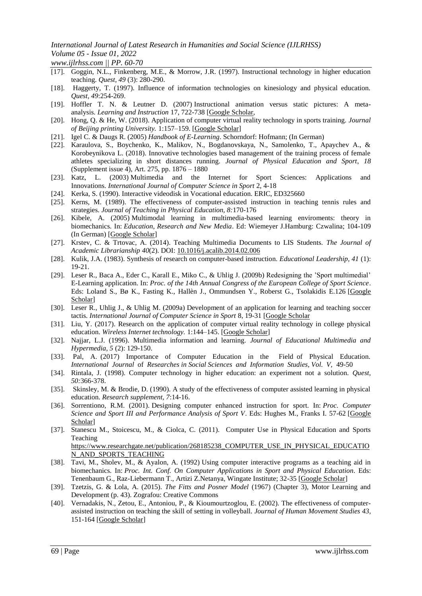*www.ijlrhss.com || PP. 60-70*

- [17]. Goggin, N.L., Finkenberg, M.E., & Morrow, J.R. (1997). Instructional technology in higher education teaching. *Quest, 49* (3): 280-290.
- [18]. Haggerty, T. (1997). Influence of information technologies on kinesiology and physical education. *Quest, 49*:254-269.
- [19]. Hoffler T. N. & Leutner D. (2007) Instructional animation versus static pictures: A metaanalysis. *Learning and Instruction* 17, 722-738 [\[Google](https://scholar.google.com/scholar_lookup?journal=Learning+and+Instruction&title=Instructional+animation+versus+static+pictures:+A+meta-analysis&author=T.+N.+Hoffler&author=D+Leutner&volume=17&publication_year=2007&pages=722-738&) [Scholar,](https://scholar.google.com/scholar_lookup?journal=Learning+and+Instruction&title=Instructional+animation+versus+static+pictures:+A+meta-analysis&author=T.+N.+Hoffler&author=D+Leutner&volume=17&publication_year=2007&pages=722-738&)
- [20]. Hong, Q. & He, W. (2018). Application of computer virtual reality technology in sports training. *Journal of Beijing printing University.* 1:157–159. [\[Google](https://scholar.google.com/scholar_lookup?journal=Journal+of+Beijing+printing+University&title=Application+of+computer+virtual+reality+technology+in+sports+training&author=Q.+Hong&author=W.+He&volume=1&publication_year=2018&pages=157-159&) [Scholar\]](https://scholar.google.com/scholar_lookup?journal=Journal+of+Beijing+printing+University&title=Application+of+computer+virtual+reality+technology+in+sports+training&author=Q.+Hong&author=W.+He&volume=1&publication_year=2018&pages=157-159&)
- [21]. Igel C. & Daugs R. (2005) *Handbook of E-Learning*. Schorndorf: Hofmann; (In German)
- [22]. Karaulova, S., Boychenko, K., Malikov, N., Bogdanovskaya, N., Samolenko, T., Apaychev A., & Korobeynikova L. (2018). Innovative technologies based management of the training process of female athletes specializing in short distances running. *Journal of Physical Education and Sport*, *18* (Supplement issue 4), Art. 275, pp. 1876 – 1880
- [23]. Katz, L. (2003) Multimedia and the Internet for Sport Sciences: Applications and Innovations. *International Journal of Computer Science in Sport* 2, 4-18
- [24]. Kerka, S. (1990). Interactive videodisk in Vocational education. ERIC, ED325660
- [25]. Kerns, M. (1989). The effectiveness of computer-assisted instruction in teaching tennis rules and strategies. *Journal of Teaching in Physical Education, 8:*170-176
- [26]. Kibele, A. (2005) Multimodal learning in multimedia-based learning enviroments: theory in biomechanics. In: *Education, Research and New Media*. Ed: Wiemeyer J.Hamburg: Czwalina; 104-109 (In German) [\[Google](https://scholar.google.com/scholar_lookup?title=Education,+Research+and+New+Media&author=A+Kibele&publication_year=2005&) [Scholar\]](https://scholar.google.com/scholar_lookup?title=Education,+Research+and+New+Media&author=A+Kibele&publication_year=2005&)
- [27]. Krstev, C. & Trtovac, A. (2014). Teaching Multimedia Documents to LIS Students. *The Journal of Academic Librarianship 40*(2). DOI: [10.1016/j.acalib.2014.02.006](http://dx.doi.org/10.1016/j.acalib.2014.02.006)
- [28]. Kulik, J.A. (1983). Synthesis of research on computer-based instruction. *Educational Leadership, 41* (1): 19-21.
- [29]. Leser R., Baca A., Eder C., Karall E., Miko C., & Uhlig J. (2009b) Redesigning the 'Sport multimedial' E-Learning application. In: *Proc. of the 14th Annual Congress of the European College of Sport Science*. Eds: Loland S., Bø K., Fasting K., Hallèn J., Ommundsen Y., Roberst G., Tsolakidis E.126 [\[Google](https://scholar.google.com/scholar_lookup?title=Proc.+of+the+14th+Annual+Congress+of+the+European+College+of+Sport+Science&author=R.+Leser&author=A.+Baca&author=C.+Eder&author=E.+Karall&author=C.+Miko&publication_year=2009b&) [Scholar\]](https://scholar.google.com/scholar_lookup?title=Proc.+of+the+14th+Annual+Congress+of+the+European+College+of+Sport+Science&author=R.+Leser&author=A.+Baca&author=C.+Eder&author=E.+Karall&author=C.+Miko&publication_year=2009b&)
- [30]. Leser R., Uhlig J., & Uhlig M. (2009a) Development of an application for learning and teaching soccer tactis. *International Journal of Computer Science in Sport* 8, 19-31 [\[Google](https://scholar.google.com/scholar_lookup?journal=International+Journal+of+Computer+Science+in+Sport&title=Development+of+an+application+for+learning+and+teaching+soccer+tactis&author=R.+Leser&author=J.+Uhlig&author=M+Uhlig&volume=8&publication_year=2009a&pages=19-31&) [Scholar](https://scholar.google.com/scholar_lookup?journal=International+Journal+of+Computer+Science+in+Sport&title=Development+of+an+application+for+learning+and+teaching+soccer+tactis&author=R.+Leser&author=J.+Uhlig&author=M+Uhlig&volume=8&publication_year=2009a&pages=19-31&)
- [31]. Liu, Y. (2017). Research on the application of computer virtual reality technology in college physical education. *Wireless Internet technology.* 1:144–145. [\[Google](https://scholar.google.com/scholar_lookup?journal=Wireless+Internet+technology&title=Research+on+the+application+of+computer+virtual+reality+technology+in+college+physical+education&author=Y.+Liu&volume=1&publication_year=2017&pages=144-145&) [Scholar\]](https://scholar.google.com/scholar_lookup?journal=Wireless+Internet+technology&title=Research+on+the+application+of+computer+virtual+reality+technology+in+college+physical+education&author=Y.+Liu&volume=1&publication_year=2017&pages=144-145&)
- [32]. Najjar, L.J. (1996). Multimedia information and learning. *Journal of Educational Multimedia and Hypermedia, 5* (2): 129-150.
- [33]. Pal, A. (2017) Importance of Computer Education in the Field of Physical Education. *International Journal* of *Researches in Social Sciences and Information Studies, Vol. V,* 49-50
- [34]. Rintala, J. (1998). Computer technology in higher education: an experiment not a solution. *Quest, 50:*366-378.
- [35]. Skinsley, M. & Brodie, D. (1990). A study of the effectiveness of computer assisted learning in physical education. *Research supplement, 7*:14-16.
- [36]. Sorrentiono, R.M. (2001). Designing computer enhanced instruction for sport. In: *Proc. Computer Science and Sport III and Performance Analysis of Sport V*. Eds: Hughes M., Franks I. 57-62 [\[Google](https://scholar.google.com/scholar_lookup?title=Proc.+Computer+Science+and+Sport+III+and+Performance+Analysis+of+Sport+V&author=R.M+Sorrentiono&publication_year=2001&) [Scholar\]](https://scholar.google.com/scholar_lookup?title=Proc.+Computer+Science+and+Sport+III+and+Performance+Analysis+of+Sport+V&author=R.M+Sorrentiono&publication_year=2001&)
- [37]. Stanescu M., Stoicescu, M., & Ciolca, C. (2011). Computer Use in Physical Education and Sports Teaching

[https://w](https://www.researchgate.net/publication/268185238_COMPUTER_USE_IN_PHYSICAL_EDUCATION_AND_SPORTS_TEACHING)w[w.r](https://www.researchgate.net/publication/268185238_COMPUTER_USE_IN_PHYSICAL_EDUCATION_AND_SPORTS_TEACHING)esearchgat[e.n](https://www.researchgate.net/publication/268185238_COMPUTER_USE_IN_PHYSICAL_EDUCATION_AND_SPORTS_TEACHING)e[t/p](https://www.researchgate.net/publication/268185238_COMPUTER_USE_IN_PHYSICAL_EDUCATION_AND_SPORTS_TEACHING)ublicatio[n/268185238\\_C](https://www.researchgate.net/publication/268185238_COMPUTER_USE_IN_PHYSICAL_EDUCATION_AND_SPORTS_TEACHING)OMPUTE[R\\_U](https://www.researchgate.net/publication/268185238_COMPUTER_USE_IN_PHYSICAL_EDUCATION_AND_SPORTS_TEACHING)S[E\\_IN\\_P](https://www.researchgate.net/publication/268185238_COMPUTER_USE_IN_PHYSICAL_EDUCATION_AND_SPORTS_TEACHING)HYSICA[L\\_EDUCATIO](https://www.researchgate.net/publication/268185238_COMPUTER_USE_IN_PHYSICAL_EDUCATION_AND_SPORTS_TEACHING) [N\\_A](https://www.researchgate.net/publication/268185238_COMPUTER_USE_IN_PHYSICAL_EDUCATION_AND_SPORTS_TEACHING)N[D\\_S](https://www.researchgate.net/publication/268185238_COMPUTER_USE_IN_PHYSICAL_EDUCATION_AND_SPORTS_TEACHING)PORT[S\\_TEACHING](https://www.researchgate.net/publication/268185238_COMPUTER_USE_IN_PHYSICAL_EDUCATION_AND_SPORTS_TEACHING)

- [38]. Tavi, M., Sholev, M., & Ayalon, A. (1992) Using computer interactive programs as a teaching aid in biomechanics. In: *Proc. Int. Conf. On Computer Applications in Sport and Physical Education*. Eds: Tenenbaum G., Raz-Liebermann T., Artizi Z.Netanya, Wingate Institute; 32-35 [\[Google](https://scholar.google.com/scholar_lookup?title=Proc.+Int.+Conf.+On+Computer+Applications+in+Sport+and+Physical+Education&author=M.+Tavi&author=M.+Sholev&author=A+Ayalon&publication_year=1992&) [Scholar\]](https://scholar.google.com/scholar_lookup?title=Proc.+Int.+Conf.+On+Computer+Applications+in+Sport+and+Physical+Education&author=M.+Tavi&author=M.+Sholev&author=A+Ayalon&publication_year=1992&)
- [39]. Tzetzis, G. & Lola, A. (2015). *The Fitts and Posner Model* (1967) (Chapter 3), Motor Learning and Development (p. 43). Zografou: Creative Commons
- [40]. Vernadakis, N., Zetou, E., Antoniou, P., & Kioumourtzoglou, E. (2002). The effectiveness of computerassisted instruction on teaching the skill of setting in volleyball. *Journal of Human Movement Studies 43,* 151-164 [\[Google](https://scholar.google.com/scholar_lookup?journal=Journal+of+Human+Movement+Studies&title=The+effectiveness+of+computer-assisted+instruction+on+teaching+the+skill+of+setting+in+volleyball&author=N.+Vernadakis&author=E.+Zetou&author=P.+Antoniou&author=E+Kioumourtzoglou&volume=43&publication_year=2002&pages=151-164&) [Scholar\]](https://scholar.google.com/scholar_lookup?journal=Journal+of+Human+Movement+Studies&title=The+effectiveness+of+computer-assisted+instruction+on+teaching+the+skill+of+setting+in+volleyball&author=N.+Vernadakis&author=E.+Zetou&author=P.+Antoniou&author=E+Kioumourtzoglou&volume=43&publication_year=2002&pages=151-164&)